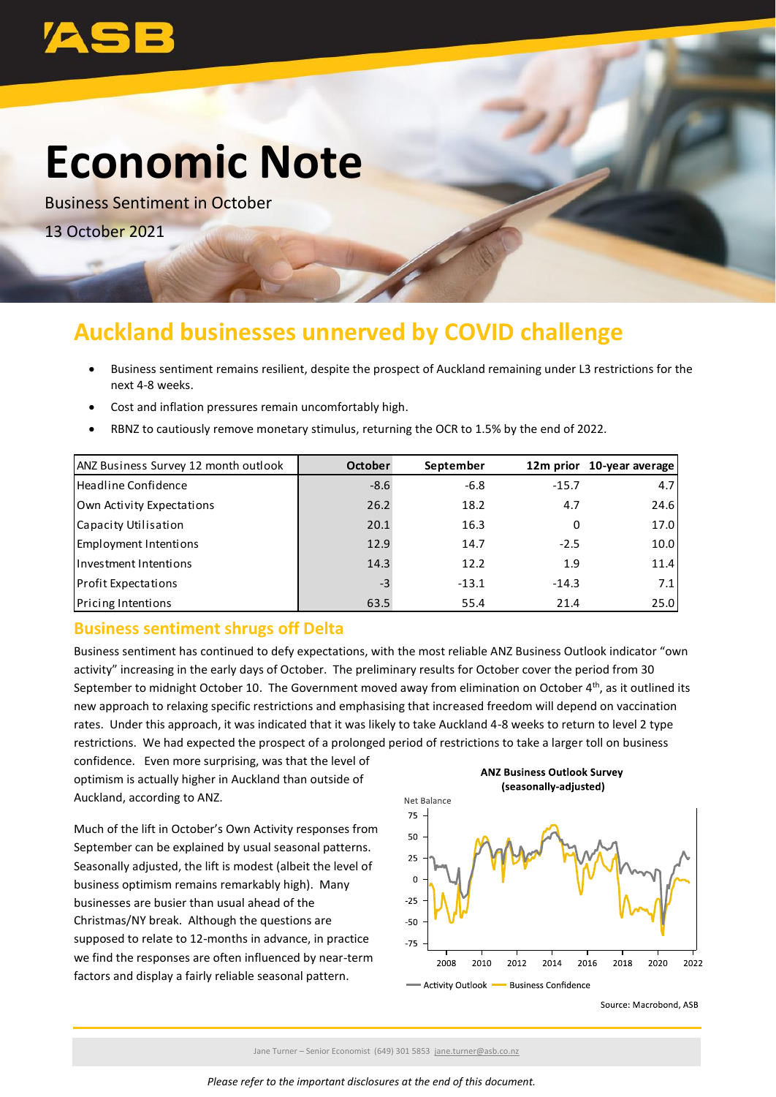

# **Economic Note**

Business Sentiment in October 13 October 2021

# **Auckland businesses unnerved by COVID challenge**

- Business sentiment remains resilient, despite the prospect of Auckland remaining under L3 restrictions for the next 4-8 weeks.
- Cost and inflation pressures remain uncomfortably high.
- RBNZ to cautiously remove monetary stimulus, returning the OCR to 1.5% by the end of 2022.

| ANZ Business Survey 12 month outlook | <b>October</b> | September |         | 12m prior 10-year average |
|--------------------------------------|----------------|-----------|---------|---------------------------|
| Headline Confidence                  | $-8.6$         | $-6.8$    | $-15.7$ | 4.7                       |
| Own Activity Expectations            | 26.2           | 18.2      | 4.7     | 24.6                      |
| Capacity Utilisation                 | 20.1           | 16.3      | 0       | 17.0                      |
| Employment Intentions                | 12.9           | 14.7      | $-2.5$  | 10.0                      |
| Investment Intentions                | 14.3           | 12.2      | 1.9     | 11.4                      |
| <b>Profit Expectations</b>           | $-3$           | $-13.1$   | $-14.3$ | 7.1                       |
| <b>Pricing Intentions</b>            | 63.5           | 55.4      | 21.4    | 25.0                      |

# **Business sentiment shrugs off Delta**

Business sentiment has continued to defy expectations, with the most reliable ANZ Business Outlook indicator "own activity" increasing in the early days of October. The preliminary results for October cover the period from 30 September to midnight October 10. The Government moved away from elimination on October  $4<sup>th</sup>$ , as it outlined its new approach to relaxing specific restrictions and emphasising that increased freedom will depend on vaccination rates. Under this approach, it was indicated that it was likely to take Auckland 4-8 weeks to return to level 2 type restrictions. We had expected the prospect of a prolonged period of restrictions to take a larger toll on business

confidence. Even more surprising, was that the level of optimism is actually higher in Auckland than outside of Auckland, according to ANZ.

Much of the lift in October's Own Activity responses from September can be explained by usual seasonal patterns. Seasonally adjusted, the lift is modest (albeit the level of business optimism remains remarkably high). Many businesses are busier than usual ahead of the Christmas/NY break. Although the questions are supposed to relate to 12-months in advance, in practice we find the responses are often influenced by near-term factors and display a fairly reliable seasonal pattern.



- Business Confidence



Jane Turner – Senior Economist (649) 301 5853 [jane.turner@asb.co.nz](mailto:jane.turner@asb.co.nz)

- Activity Outlook -

*Please refer to the important disclosures at the end of this document.*